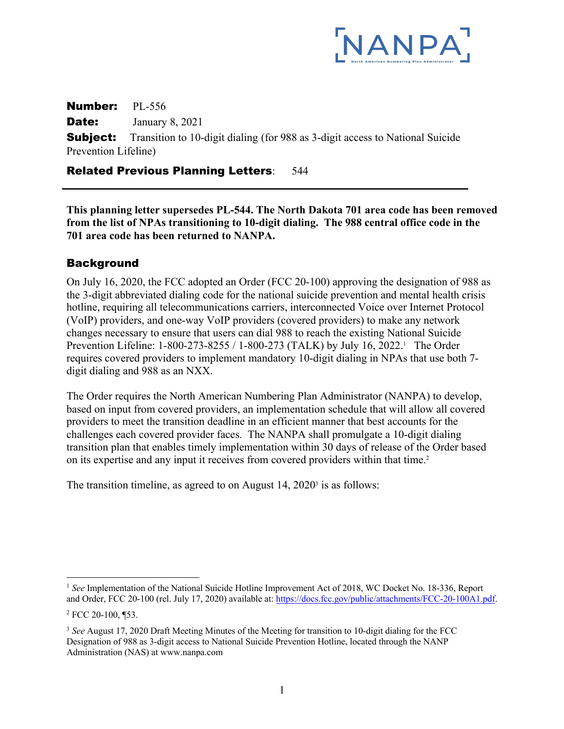

Number: PL-556 **Date:** January 8, 2021 **Subject:** Transition to 10-digit dialing (for 988 as 3-digit access to National Suicide Prevention Lifeline)

#### Related Previous Planning Letters: 544

**This planning letter supersedes PL-544. The North Dakota 701 area code has been removed from the list of NPAs transitioning to 10-digit dialing. The 988 central office code in the 701 area code has been returned to NANPA.** 

### Background

On July 16, 2020, the FCC adopted an Order (FCC 20-100) approving the designation of 988 as the 3-digit abbreviated dialing code for the national suicide prevention and mental health crisis hotline, requiring all telecommunications carriers, interconnected Voice over Internet Protocol (VoIP) providers, and one-way VoIP providers (covered providers) to make any network changes necessary to ensure that users can dial 988 to reach the existing National Suicide Prevention Lifeline: 1-800-273-8255 / 1-800-273 (TALK) by July 16, 2022.<sup>1</sup> The Order requires covered providers to implement mandatory 10-digit dialing in NPAs that use both 7 digit dialing and 988 as an NXX.

The Order requires the North American Numbering Plan Administrator (NANPA) to develop, based on input from covered providers, an implementation schedule that will allow all covered providers to meet the transition deadline in an efficient manner that best accounts for the challenges each covered provider faces. The NANPA shall promulgate a 10-digit dialing transition plan that enables timely implementation within 30 days of release of the Order based on its expertise and any input it receives from covered providers within that time.<sup>2</sup>

The transition timeline, as agreed to on August  $14$ ,  $2020<sup>3</sup>$  is as follows:

<sup>&</sup>lt;sup>1</sup> See Implementation of the National Suicide Hotline Improvement Act of 2018, WC Docket No. 18-336, Report and Order, FCC 20-100 (rel. July 17, 2020) available at: https://docs.fcc.gov/public/attachments/FCC-20-100A1.pdf.

 $2$  FCC 20-100, ¶53.

<sup>3</sup> *See* August 17, 2020 Draft Meeting Minutes of the Meeting for transition to 10-digit dialing for the FCC Designation of 988 as 3-digit access to National Suicide Prevention Hotline, located through the NANP Administration (NAS) at www.nanpa.com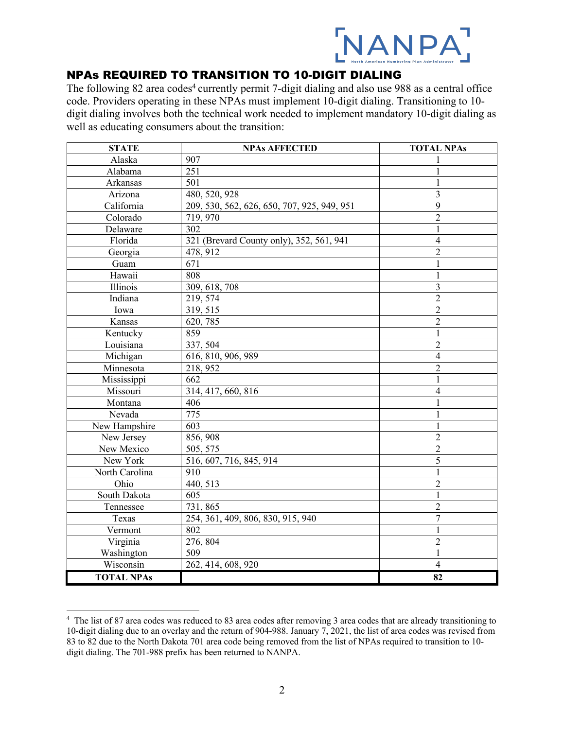

## NPAs REQUIRED TO TRANSITION TO 10-DIGIT DIALING

The following 82 area codes<sup>4</sup> currently permit 7-digit dialing and also use 988 as a central office code. Providers operating in these NPAs must implement 10-digit dialing. Transitioning to 10 digit dialing involves both the technical work needed to implement mandatory 10-digit dialing as well as educating consumers about the transition:

| <b>STATE</b>      | <b>NPAs AFFECTED</b>                        | <b>TOTAL NPAs</b>       |
|-------------------|---------------------------------------------|-------------------------|
| Alaska            | 907                                         |                         |
| Alabama           | 251                                         |                         |
| Arkansas          | 501                                         | 1                       |
| Arizona           | 480, 520, 928                               | 3                       |
| California        | 209, 530, 562, 626, 650, 707, 925, 949, 951 | 9                       |
| Colorado          | 719, 970                                    | $\overline{2}$          |
| Delaware          | 302                                         | $\mathbf{1}$            |
| Florida           | 321 (Brevard County only), 352, 561, 941    | $\overline{4}$          |
| Georgia           | 478, 912                                    | $\overline{2}$          |
| Guam              | 671                                         | $\mathbf{1}$            |
| Hawaii            | 808                                         | $\mathbf{1}$            |
| Illinois          | 309, 618, 708                               | $\overline{\mathbf{3}}$ |
| Indiana           | 219, 574                                    | $\overline{c}$          |
| Iowa              | 319, 515                                    | $\overline{2}$          |
| Kansas            | 620, 785                                    | $\overline{2}$          |
| Kentucky          | 859                                         | $\mathbf{1}$            |
| Louisiana         | 337, 504                                    | $\overline{2}$          |
| Michigan          | 616, 810, 906, 989                          | $\overline{4}$          |
| Minnesota         | 218, 952                                    | $\overline{2}$          |
| Mississippi       | 662                                         | $\mathbf{1}$            |
| Missouri          | 314, 417, 660, 816                          | $\overline{4}$          |
| Montana           | 406                                         | $\mathbf{1}$            |
| Nevada            | 775                                         | $\mathbf{1}$            |
| New Hampshire     | 603                                         | $\mathbf{1}$            |
| New Jersey        | 856, 908                                    | $\overline{c}$          |
| New Mexico        | 505, 575                                    | $\overline{2}$          |
| New York          | 516, 607, 716, 845, 914                     | 5                       |
| North Carolina    | 910                                         | 1                       |
| Ohio              | 440, 513                                    | $\overline{2}$          |
| South Dakota      | 605                                         | 1                       |
| Tennessee         | 731,865                                     | $\sqrt{2}$              |
| Texas             | 254, 361, 409, 806, 830, 915, 940           | $\overline{7}$          |
| Vermont           | 802                                         | $\mathbf{1}$            |
| Virginia          | 276, 804                                    | $\overline{c}$          |
| Washington        | 509                                         | $\mathbf{1}$            |
| Wisconsin         | 262, 414, 608, 920                          | $\overline{4}$          |
| <b>TOTAL NPAs</b> |                                             | 82                      |

<sup>&</sup>lt;sup>4</sup> The list of 87 area codes was reduced to 83 area codes after removing 3 area codes that are already transitioning to 10-digit dialing due to an overlay and the return of 904-988. January 7, 2021, the list of area codes was revised from 83 to 82 due to the North Dakota 701 area code being removed from the list of NPAs required to transition to 10 digit dialing. The 701-988 prefix has been returned to NANPA.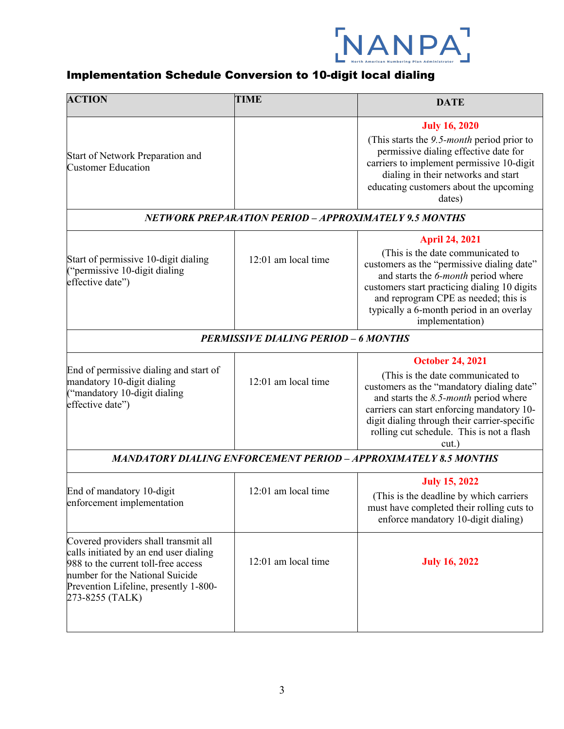

# Implementation Schedule Conversion to 10-digit local dialing

| <b>ACTION</b>                                                                                                                                                                                                        | <b>TIME</b>         | <b>DATE</b>                                                                                                                                                                                                                                                                                               |  |  |
|----------------------------------------------------------------------------------------------------------------------------------------------------------------------------------------------------------------------|---------------------|-----------------------------------------------------------------------------------------------------------------------------------------------------------------------------------------------------------------------------------------------------------------------------------------------------------|--|--|
| Start of Network Preparation and<br><b>Customer Education</b>                                                                                                                                                        |                     | <b>July 16, 2020</b><br>(This starts the 9.5-month period prior to<br>permissive dialing effective date for<br>carriers to implement permissive 10-digit<br>dialing in their networks and start<br>educating customers about the upcoming<br>dates)                                                       |  |  |
| NETWORK PREPARATION PERIOD - APPROXIMATELY 9.5 MONTHS                                                                                                                                                                |                     |                                                                                                                                                                                                                                                                                                           |  |  |
| Start of permissive 10-digit dialing<br>("permissive 10-digit dialing<br>effective date")                                                                                                                            | 12:01 am local time | <b>April 24, 2021</b><br>(This is the date communicated to<br>customers as the "permissive dialing date"<br>and starts the 6-month period where<br>customers start practicing dialing 10 digits<br>and reprogram CPE as needed; this is<br>typically a 6-month period in an overlay<br>implementation)    |  |  |
| <b>PERMISSIVE DIALING PERIOD - 6 MONTHS</b>                                                                                                                                                                          |                     |                                                                                                                                                                                                                                                                                                           |  |  |
| End of permissive dialing and start of<br>mandatory 10-digit dialing<br>("mandatory 10-digit dialing<br>effective date")                                                                                             | 12:01 am local time | <b>October 24, 2021</b><br>(This is the date communicated to<br>customers as the "mandatory dialing date"<br>and starts the $8.5$ -month period where<br>carriers can start enforcing mandatory 10-<br>digit dialing through their carrier-specific<br>rolling cut schedule. This is not a flash<br>cut.) |  |  |
| <b>MANDATORY DIALING ENFORCEMENT PERIOD – APPROXIMATELY 8.5 MONTHS</b>                                                                                                                                               |                     |                                                                                                                                                                                                                                                                                                           |  |  |
| End of mandatory 10-digit<br>enforcement implementation                                                                                                                                                              | 12:01 am local time | <b>July 15, 2022</b><br>(This is the deadline by which carriers<br>must have completed their rolling cuts to<br>enforce mandatory 10-digit dialing)                                                                                                                                                       |  |  |
| Covered providers shall transmit all<br>calls initiated by an end user dialing<br>988 to the current toll-free access<br>number for the National Suicide<br>Prevention Lifeline, presently 1-800-<br>273-8255 (TALK) | 12:01 am local time | <b>July 16, 2022</b>                                                                                                                                                                                                                                                                                      |  |  |